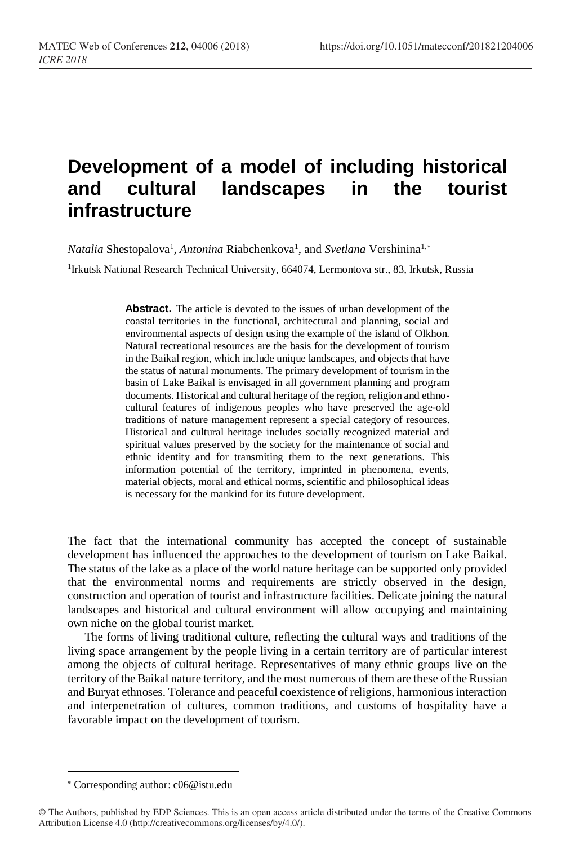## **Development of a model of including historical and cultural landscapes in the tourist infrastructure**

Natalia Shestopalova<sup>1</sup>, Antonina Riabchenkova<sup>1</sup>, and *Svetlana* Vershinina<sup>1,\*</sup>

<sup>1</sup>Irkutsk National Research Technical University, 664074, Lermontova str., 83, Irkutsk, Russia

**Abstract.** The article is devoted to the issues of urban development of the coastal territories in the functional, architectural and planning, social and environmental aspects of design using the example of the island of Olkhon. Natural recreational resources are the basis for the development of tourism in the Baikal region, which include unique landscapes, and objects that have the status of natural monuments. The primary development of tourism in the basin of Lake Baikal is envisaged in all government planning and program documents. Historical and cultural heritage of the region, religion and ethnocultural features of indigenous peoples who have preserved the age-old traditions of nature management represent a special category of resources. Historical and cultural heritage includes socially recognized material and spiritual values preserved by the society for the maintenance of social and ethnic identity and for transmiting them to the next generations. This information potential of the territory, imprinted in phenomena, events, material objects, moral and ethical norms, scientific and philosophical ideas is necessary for the mankind for its future development.

The fact that the international community has accepted the concept of sustainable development has influenced the approaches to the development of tourism on Lake Baikal. The status of the lake as a place of the world nature heritage can be supported only provided that the environmental norms and requirements are strictly observed in the design, construction and operation of tourist and infrastructure facilities. Delicate joining the natural landscapes and historical and cultural environment will allow occupying and maintaining own niche on the global tourist market.

The forms of living traditional culture, reflecting the cultural ways and traditions of the living space arrangement by the people living in a certain territory are of particular interest among the objects of cultural heritage. Representatives of many ethnic groups live on the territory of the Baikal nature territory, and the most numerous of them are these of the Russian and Buryat ethnoses. Tolerance and peaceful coexistence of religions, harmonious interaction and interpenetration of cultures, common traditions, and customs of hospitality have a favorable impact on the development of tourism.

 $\overline{a}$ 

Corresponding author: c06@istu.edu

<sup>©</sup> The Authors, published by EDP Sciences. This is an open access article distributed under the terms of the Creative Commons Attribution License 4.0 (http://creativecommons.org/licenses/by/4.0/).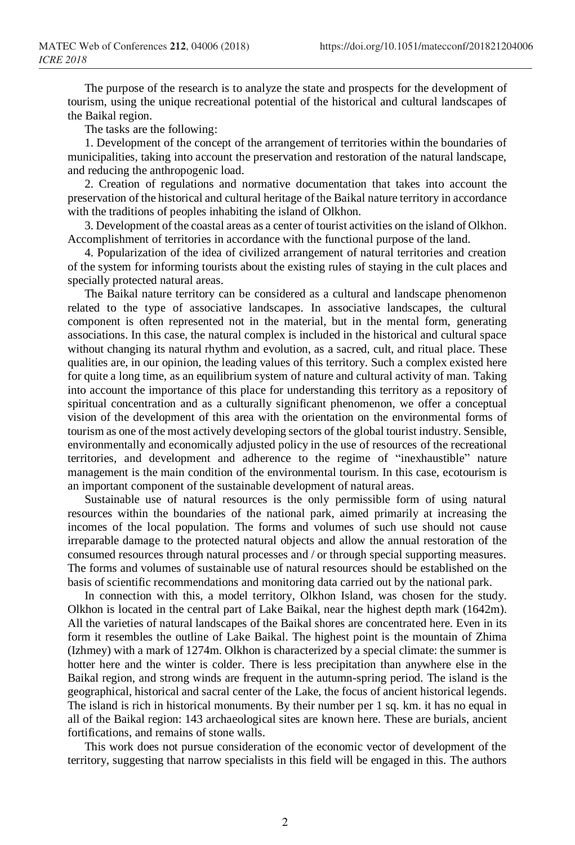The purpose of the research is to analyze the state and prospects for the development of tourism, using the unique recreational potential of the historical and cultural landscapes of the Baikal region.

The tasks are the following:

1. Development of the concept of the arrangement of territories within the boundaries of municipalities, taking into account the preservation and restoration of the natural landscape, and reducing the anthropogenic load.

2. Creation of regulations and normative documentation that takes into account the preservation of the historical and cultural heritage of the Baikal nature territory in accordance with the traditions of peoples inhabiting the island of Olkhon.

3. Development of the coastal areas as a center of tourist activities on the island of Olkhon. Accomplishment of territories in accordance with the functional purpose of the land.

4. Popularization of the idea of civilized arrangement of natural territories and creation of the system for informing tourists about the existing rules of staying in the cult places and specially protected natural areas.

The Baikal nature territory can be considered as a cultural and landscape phenomenon related to the type of associative landscapes. In associative landscapes, the cultural component is often represented not in the material, but in the mental form, generating associations. In this case, the natural complex is included in the historical and cultural space without changing its natural rhythm and evolution, as a sacred, cult, and ritual place. These qualities are, in our opinion, the leading values of this territory. Such a complex existed here for quite a long time, as an equilibrium system of nature and cultural activity of man. Taking into account the importance of this place for understanding this territory as a repository of spiritual concentration and as a culturally significant phenomenon, we offer a conceptual vision of the development of this area with the orientation on the environmental forms of tourism as one of the most actively developing sectors of the globaltourist industry. Sensible, environmentally and economically adjusted policy in the use of resources of the recreational territories, and development and adherence to the regime of "inexhaustible" nature management is the main condition of the environmental tourism. In this case, ecotourism is an important component of the sustainable development of natural areas.

Sustainable use of natural resources is the only permissible form of using natural resources within the boundaries of the national park, aimed primarily at increasing the incomes of the local population. The forms and volumes of such use should not cause irreparable damage to the protected natural objects and allow the annual restoration of the consumed resources through natural processes and / or through special supporting measures. The forms and volumes of sustainable use of natural resources should be established on the basis of scientific recommendations and monitoring data carried out by the national park.

In connection with this, a model territory, Olkhon Island, was chosen for the study. Olkhon is located in the central part of Lake Baikal, near the highest depth mark (1642m). All the varieties of natural landscapes of the Baikal shores are concentrated here. Even in its form it resembles the outline of Lake Baikal. The highest point is the mountain of Zhima (Izhmey) with a mark of 1274m. Olkhon is characterized by a special climate: the summer is hotter here and the winter is colder. There is less precipitation than anywhere else in the Baikal region, and strong winds are frequent in the autumn-spring period. The island is the geographical, historical and sacral center of the Lake, the focus of ancient historical legends. The island is rich in historical monuments. By their number per 1 sq. km. it has no equal in all of the Baikal region: 143 archaeological sites are known here. These are burials, ancient fortifications, and remains of stone walls.

This work does not pursue consideration of the economic vector of development of the territory, suggesting that narrow specialists in this field will be engaged in this. The authors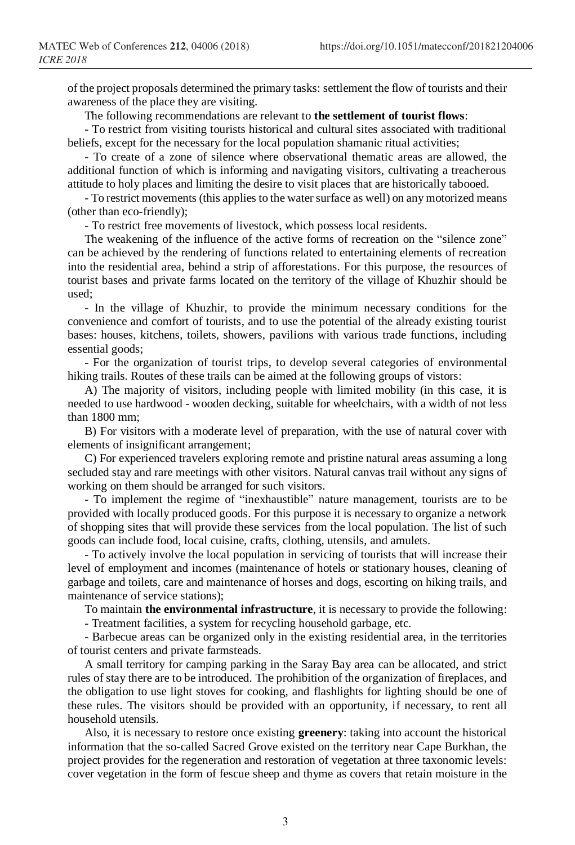of the project proposals determined the primary tasks: settlement the flow of tourists and their awareness of the place they are visiting.

The following recommendations are relevant to **the settlement of tourist flows**:

- To restrict from visiting tourists historical and cultural sites associated with traditional beliefs, except for the necessary for the local population shamanic ritual activities;

- To create of a zone of silence where observational thematic areas are allowed, the additional function of which is informing and navigating visitors, cultivating a treacherous attitude to holy places and limiting the desire to visit places that are historically tabooed.

- To restrict movements (this applies to the water surface as well) on any motorized means (other than eco-friendly);

- To restrict free movements of livestock, which possess local residents.

The weakening of the influence of the active forms of recreation on the "silence zone" can be achieved by the rendering of functions related to entertaining elements of recreation into the residential area, behind a strip of afforestations. For this purpose, the resources of tourist bases and private farms located on the territory of the village of Khuzhir should be used;

- In the village of Khuzhir, to provide the minimum necessary conditions for the convenience and comfort of tourists, and to use the potential of the already existing tourist bases: houses, kitchens, toilets, showers, pavilions with various trade functions, including essential goods;

- For the organization of tourist trips, to develop several categories of environmental hiking trails. Routes of these trails can be aimed at the following groups of vistors:

A) The majority of visitors, including people with limited mobility (in this case, it is needed to use hardwood - wooden decking, suitable for wheelchairs, with a width of not less than 1800 mm;

B) For visitors with a moderate level of preparation, with the use of natural cover with elements of insignificant arrangement;

C) For experienced travelers exploring remote and pristine natural areas assuming a long secluded stay and rare meetings with other visitors. Natural canvas trail without any signs of working on them should be arranged for such visitors.

- To implement the regime of "inexhaustible" nature management, tourists are to be provided with locally produced goods. For this purpose it is necessary to organize a network of shopping sites that will provide these services from the local population. The list of such goods can include food, local cuisine, crafts, clothing, utensils, and amulets.

- To actively involve the local population in servicing of tourists that will increase their level of employment and incomes (maintenance of hotels or stationary houses, cleaning of garbage and toilets, care and maintenance of horses and dogs, escorting on hiking trails, and maintenance of service stations);

To maintain **the environmental infrastructure**, it is necessary to provide the following:

- Treatment facilities, a system for recycling household garbage, etc.

- Barbecue areas can be organized only in the existing residential area, in the territories of tourist centers and private farmsteads.

A small territory for camping parking in the Saray Bay area can be allocated, and strict rules of stay there are to be introduced. The prohibition of the organization of fireplaces, and the obligation to use light stoves for cooking, and flashlights for lighting should be one of these rules. The visitors should be provided with an opportunity, if necessary, to rent all household utensils.

Also, it is necessary to restore once existing **greenery**: taking into account the historical information that the so-called Sacred Grove existed on the territory near Cape Burkhan, the project provides for the regeneration and restoration of vegetation at three taxonomic levels: cover vegetation in the form of fescue sheep and thyme as covers that retain moisture in the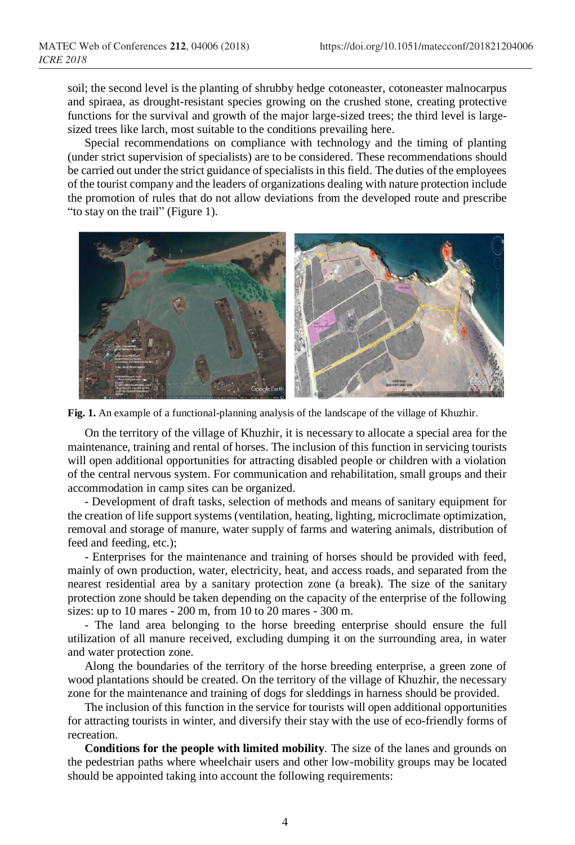soil; the second level is the planting of shrubby hedge cotoneaster, cotoneaster malnocarpus and spiraea, as drought-resistant species growing on the crushed stone, creating protective functions for the survival and growth of the major large-sized trees; the third level is largesized trees like larch, most suitable to the conditions prevailing here.

Special recommendations on compliance with technology and the timing of planting (under strict supervision of specialists) are to be considered. These recommendations should be carried out under the strict guidance of specialists in this field. The duties of the employees of the tourist company and the leaders of organizations dealing with nature protection include the promotion of rules that do not allow deviations from the developed route and prescribe "to stay on the trail" (Figure 1).



**Fig. 1.** An example of a functional-planning analysis of the landscape of the village of Khuzhir.

On the territory of the village of Khuzhir, it is necessary to allocate a special area for the maintenance, training and rental of horses. The inclusion of this function in servicing tourists will open additional opportunities for attracting disabled people or children with a violation of the central nervous system. For communication and rehabilitation, small groups and their accommodation in camp sites can be organized.

- Development of draft tasks, selection of methods and means of sanitary equipment for the creation of life support systems (ventilation, heating, lighting, microclimate optimization, removal and storage of manure, water supply of farms and watering animals, distribution of feed and feeding, etc.);

- Enterprises for the maintenance and training of horses should be provided with feed, mainly of own production, water, electricity, heat, and access roads, and separated from the nearest residential area by a sanitary protection zone (a break). The size of the sanitary protection zone should be taken depending on the capacity of the enterprise of the following sizes: up to 10 mares - 200 m, from 10 to 20 mares - 300 m.

- The land area belonging to the horse breeding enterprise should ensure the full utilization of all manure received, excluding dumping it on the surrounding area, in water and water protection zone.

Along the boundaries of the territory of the horse breeding enterprise, a green zone of wood plantations should be created. On the territory of the village of Khuzhir, the necessary zone for the maintenance and training of dogs for sleddings in harness should be provided.

The inclusion of this function in the service for tourists will open additional opportunities for attracting tourists in winter, and diversify their stay with the use of eco-friendly forms of recreation.

**Conditions for the people with limited mobility**. The size of the lanes and grounds on the pedestrian paths where wheelchair users and other low-mobility groups may be located should be appointed taking into account the following requirements: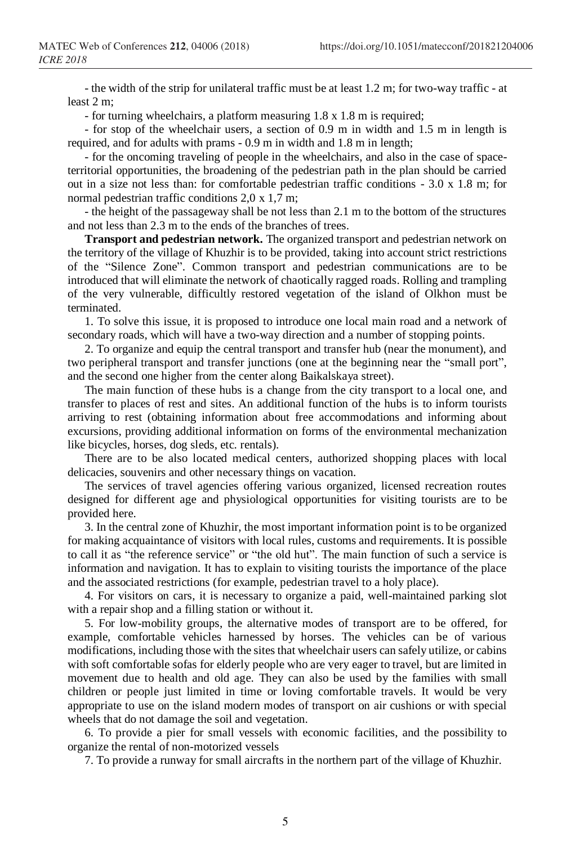- the width of the strip for unilateral traffic must be at least 1.2 m; for two-way traffic - at least 2 m;

- for turning wheelchairs, a platform measuring 1.8 x 1.8 m is required;

- for stop of the wheelchair users, a section of 0.9 m in width and 1.5 m in length is required, and for adults with prams - 0.9 m in width and 1.8 m in length;

- for the oncoming traveling of people in the wheelchairs, and also in the case of spaceterritorial opportunities, the broadening of the pedestrian path in the plan should be carried out in a size not less than: for comfortable pedestrian traffic conditions - 3.0 х 1.8 m; for normal pedestrian traffic conditions 2,0 х 1,7 m;

- the height of the passageway shall be not less than 2.1 m to the bottom of the structures and not less than 2.3 m to the ends of the branches of trees.

**Transport and pedestrian network.** The organized transport and pedestrian network on the territory of the village of Khuzhir is to be provided, taking into account strict restrictions of the "Silence Zone". Common transport and pedestrian communications are to be introduced that will eliminate the network of chaotically ragged roads. Rolling and trampling of the very vulnerable, difficultly restored vegetation of the island of Olkhon must be terminated.

1. To solve this issue, it is proposed to introduce one local main road and a network of secondary roads, which will have a two-way direction and a number of stopping points.

2. To organize and equip the central transport and transfer hub (near the monument), and two peripheral transport and transfer junctions (one at the beginning near the "small port", and the second one higher from the center along Baikalskaya street).

The main function of these hubs is a change from the city transport to a local one, and transfer to places of rest and sites. An additional function of the hubs is to inform tourists arriving to rest (obtaining information about free accommodations and informing about excursions, providing additional information on forms of the environmental mechanization like bicycles, horses, dog sleds, etc. rentals).

There are to be also located medical centers, authorized shopping places with local delicacies, souvenirs and other necessary things on vacation.

The services of travel agencies offering various organized, licensed recreation routes designed for different age and physiological opportunities for visiting tourists are to be provided here.

3. In the central zone of Khuzhir, the most important information point is to be organized for making acquaintance of visitors with local rules, customs and requirements. It is possible to call it as "the reference service" or "the old hut". The main function of such a service is information and navigation. It has to explain to visiting tourists the importance of the place and the associated restrictions (for example, pedestrian travel to a holy place).

4. For visitors on cars, it is necessary to organize a paid, well-maintained parking slot with a repair shop and a filling station or without it.

5. For low-mobility groups, the alternative modes of transport are to be offered, for example, comfortable vehicles harnessed by horses. The vehicles can be of various modifications, including those with the sites that wheelchair users can safely utilize, or cabins with soft comfortable sofas for elderly people who are very eager to travel, but are limited in movement due to health and old age. They can also be used by the families with small children or people just limited in time or loving comfortable travels. It would be very appropriate to use on the island modern modes of transport on air cushions or with special wheels that do not damage the soil and vegetation.

6. To provide a pier for small vessels with economic facilities, and the possibility to organize the rental of non-motorized vessels

7. To provide a runway for small aircrafts in the northern part of the village of Khuzhir.